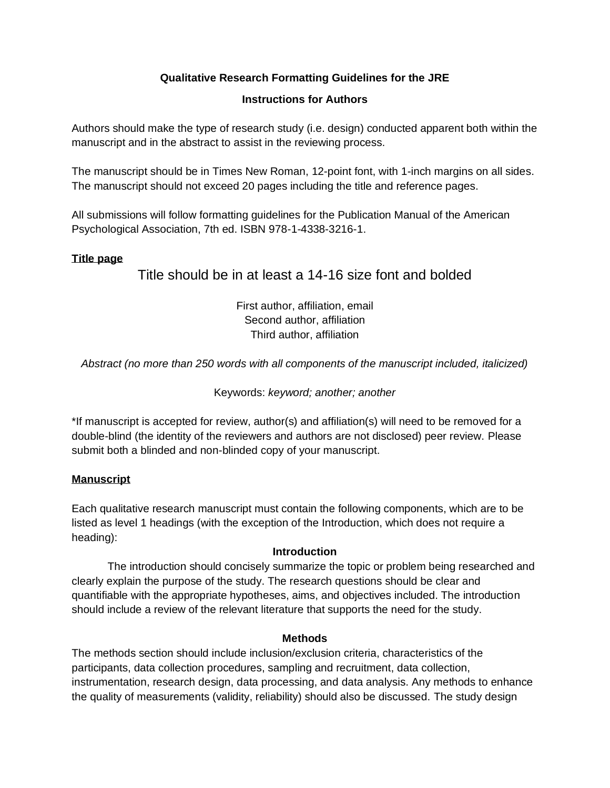# **Qualitative Research Formatting Guidelines for the JRE**

## **Instructions for Authors**

Authors should make the type of research study (i.e. design) conducted apparent both within the manuscript and in the abstract to assist in the reviewing process.

The manuscript should be in Times New Roman, 12-point font, with 1-inch margins on all sides. The manuscript should not exceed 20 pages including the title and reference pages.

All submissions will follow formatting guidelines for the Publication Manual of the American Psychological Association, 7th ed. ISBN 978-1-4338-3216-1.

## **Title page**

# Title should be in at least a 14-16 size font and bolded

First author, affiliation, email Second author, affiliation Third author, affiliation

*Abstract (no more than 250 words with all components of the manuscript included, italicized)*

## Keywords: *keyword; another; another*

\*If manuscript is accepted for review, author(s) and affiliation(s) will need to be removed for a double-blind (the identity of the reviewers and authors are not disclosed) peer review. Please submit both a blinded and non-blinded copy of your manuscript.

## **Manuscript**

Each qualitative research manuscript must contain the following components, which are to be listed as level 1 headings (with the exception of the Introduction, which does not require a heading):

## **Introduction**

The introduction should concisely summarize the topic or problem being researched and clearly explain the purpose of the study. The research questions should be clear and quantifiable with the appropriate hypotheses, aims, and objectives included. The introduction should include a review of the relevant literature that supports the need for the study.

## **Methods**

The methods section should include inclusion/exclusion criteria, characteristics of the participants, data collection procedures, sampling and recruitment, data collection, instrumentation, research design, data processing, and data analysis. Any methods to enhance the quality of measurements (validity, reliability) should also be discussed. The study design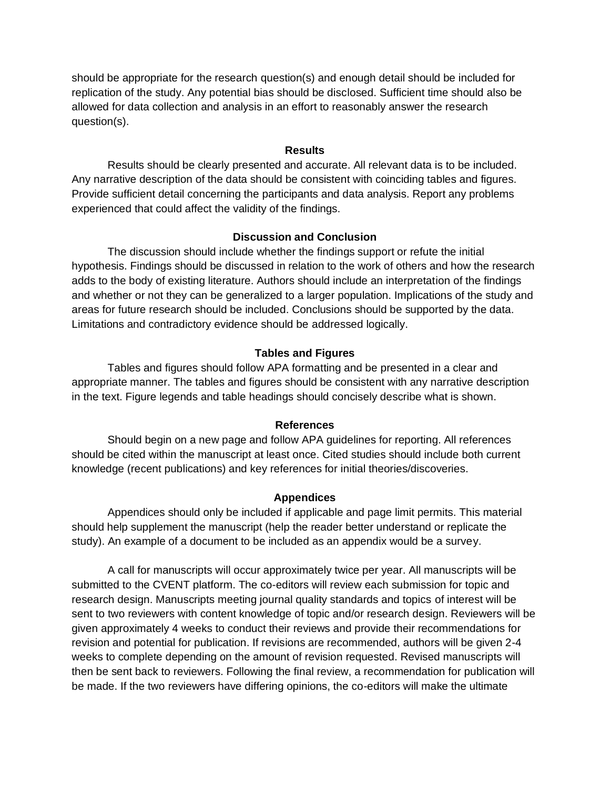should be appropriate for the research question(s) and enough detail should be included for replication of the study. Any potential bias should be disclosed. Sufficient time should also be allowed for data collection and analysis in an effort to reasonably answer the research question(s).

#### **Results**

Results should be clearly presented and accurate. All relevant data is to be included. Any narrative description of the data should be consistent with coinciding tables and figures. Provide sufficient detail concerning the participants and data analysis. Report any problems experienced that could affect the validity of the findings.

#### **Discussion and Conclusion**

The discussion should include whether the findings support or refute the initial hypothesis. Findings should be discussed in relation to the work of others and how the research adds to the body of existing literature. Authors should include an interpretation of the findings and whether or not they can be generalized to a larger population. Implications of the study and areas for future research should be included. Conclusions should be supported by the data. Limitations and contradictory evidence should be addressed logically.

#### **Tables and Figures**

Tables and figures should follow APA formatting and be presented in a clear and appropriate manner. The tables and figures should be consistent with any narrative description in the text. Figure legends and table headings should concisely describe what is shown.

#### **References**

Should begin on a new page and follow APA guidelines for reporting. All references should be cited within the manuscript at least once. Cited studies should include both current knowledge (recent publications) and key references for initial theories/discoveries.

#### **Appendices**

Appendices should only be included if applicable and page limit permits. This material should help supplement the manuscript (help the reader better understand or replicate the study). An example of a document to be included as an appendix would be a survey.

A call for manuscripts will occur approximately twice per year. All manuscripts will be submitted to the CVENT platform. The co-editors will review each submission for topic and research design. Manuscripts meeting journal quality standards and topics of interest will be sent to two reviewers with content knowledge of topic and/or research design. Reviewers will be given approximately 4 weeks to conduct their reviews and provide their recommendations for revision and potential for publication. If revisions are recommended, authors will be given 2-4 weeks to complete depending on the amount of revision requested. Revised manuscripts will then be sent back to reviewers. Following the final review, a recommendation for publication will be made. If the two reviewers have differing opinions, the co-editors will make the ultimate